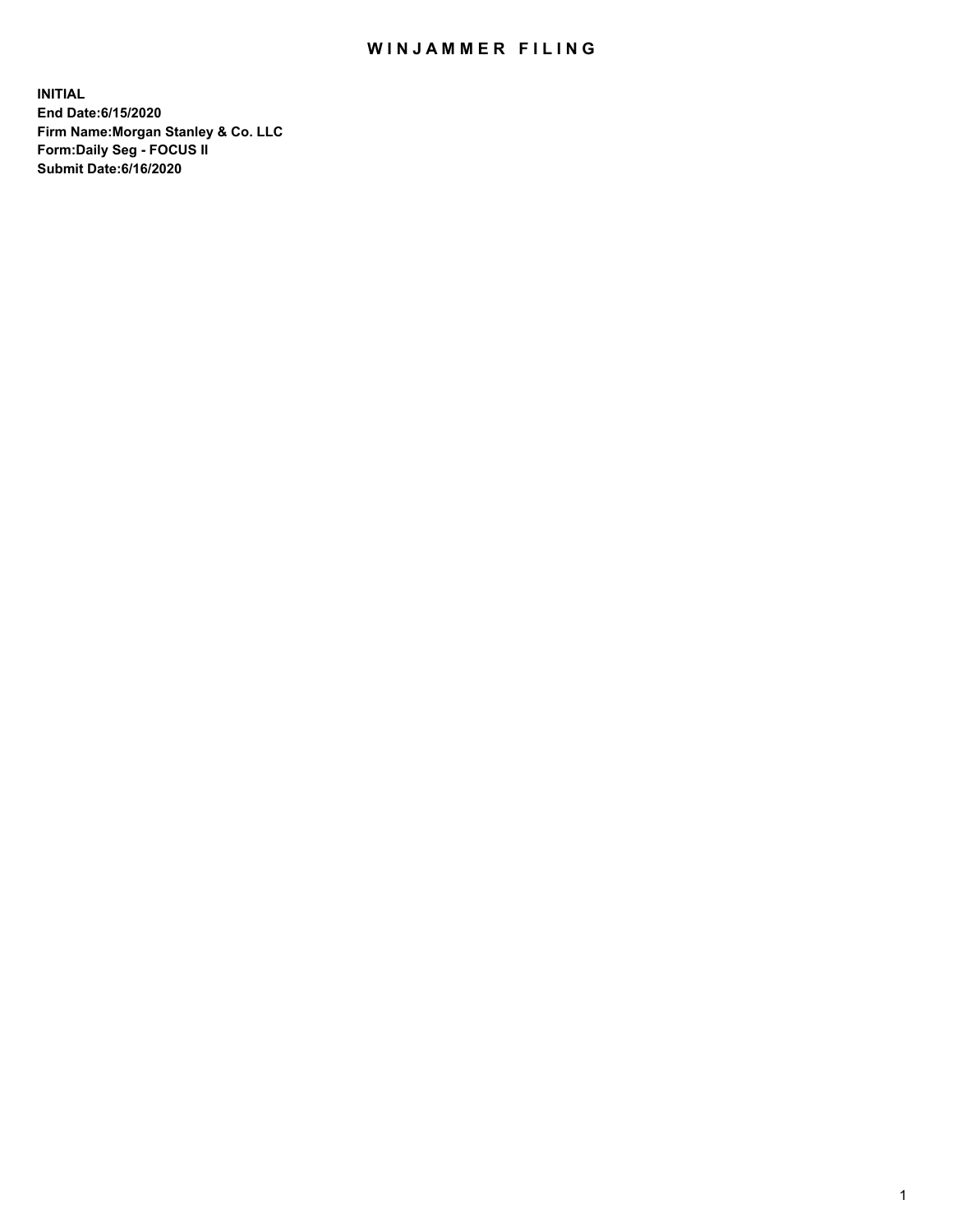## WIN JAMMER FILING

**INITIAL End Date:6/15/2020 Firm Name:Morgan Stanley & Co. LLC Form:Daily Seg - FOCUS II Submit Date:6/16/2020**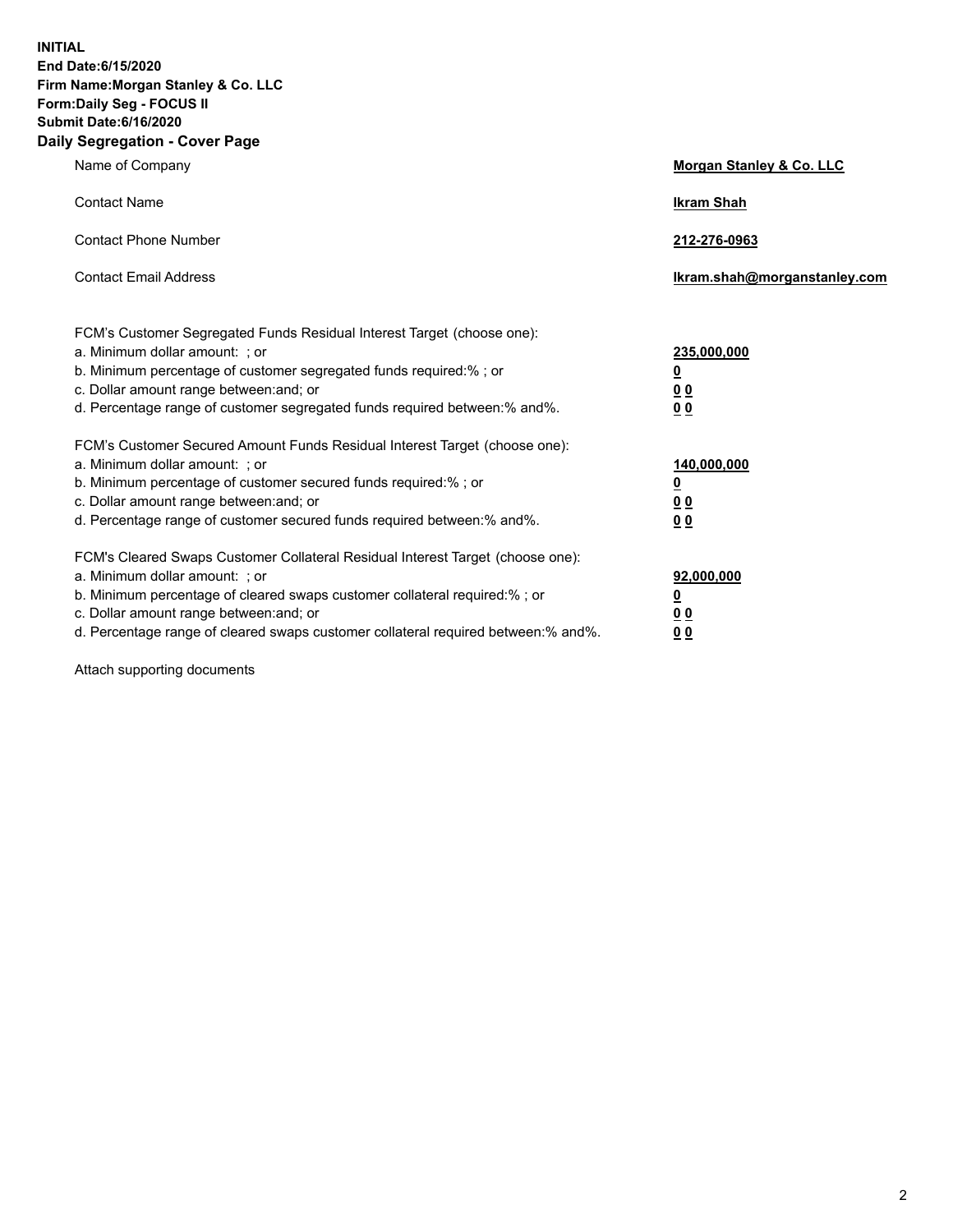**INITIAL End Date:6/15/2020 Firm Name:Morgan Stanley & Co. LLC Form:Daily Seg - FOCUS II Submit Date:6/16/2020 Daily Segregation - Cover Page**

| Name of Company                                                                                                                                                                                                                                                                                                               | Morgan Stanley & Co. LLC                               |
|-------------------------------------------------------------------------------------------------------------------------------------------------------------------------------------------------------------------------------------------------------------------------------------------------------------------------------|--------------------------------------------------------|
| <b>Contact Name</b>                                                                                                                                                                                                                                                                                                           | <b>Ikram Shah</b>                                      |
| <b>Contact Phone Number</b>                                                                                                                                                                                                                                                                                                   | 212-276-0963                                           |
| <b>Contact Email Address</b>                                                                                                                                                                                                                                                                                                  | Ikram.shah@morganstanley.com                           |
| FCM's Customer Segregated Funds Residual Interest Target (choose one):<br>a. Minimum dollar amount: ; or<br>b. Minimum percentage of customer segregated funds required:% ; or<br>c. Dollar amount range between: and; or<br>d. Percentage range of customer segregated funds required between:% and%.                        | 235,000,000<br><u>0</u><br><u>00</u><br>0 <sup>0</sup> |
| FCM's Customer Secured Amount Funds Residual Interest Target (choose one):<br>a. Minimum dollar amount: ; or<br>b. Minimum percentage of customer secured funds required:%; or<br>c. Dollar amount range between: and; or<br>d. Percentage range of customer secured funds required between:% and%.                           | 140,000,000<br><u>0</u><br><u>00</u><br>0 <sub>0</sub> |
| FCM's Cleared Swaps Customer Collateral Residual Interest Target (choose one):<br>a. Minimum dollar amount: ; or<br>b. Minimum percentage of cleared swaps customer collateral required:%; or<br>c. Dollar amount range between: and; or<br>d. Percentage range of cleared swaps customer collateral required between:% and%. | 92,000,000<br><u>0</u><br>0 Q<br>00                    |

Attach supporting documents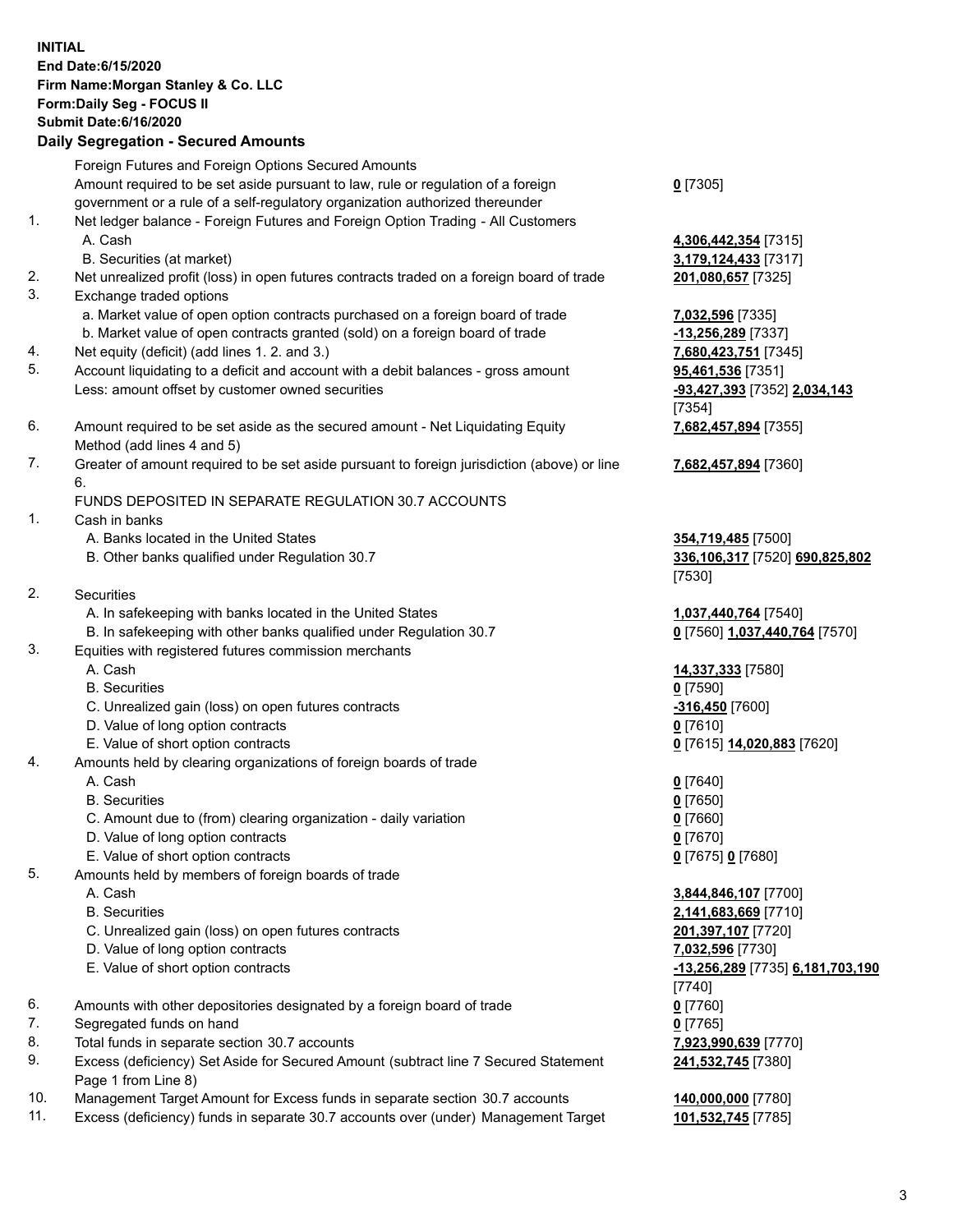## **INITIAL End Date:6/15/2020 Firm Name:Morgan Stanley & Co. LLC Form:Daily Seg - FOCUS II Submit Date:6/16/2020 Daily Segregation - Secured Amounts** Foreign Futures and Foreign Options Secured Amounts Amount required to be set aside pursuant to law, rule or regulation of a foreign government or a rule of a self-regulatory organization authorized thereunder **0** [7305] 1. Net ledger balance - Foreign Futures and Foreign Option Trading - All Customers A. Cash **4,306,442,354** [7315] B. Securities (at market) **3,179,124,433** [7317] 2. Net unrealized profit (loss) in open futures contracts traded on a foreign board of trade **201,080,657** [7325] 3. Exchange traded options a. Market value of open option contracts purchased on a foreign board of trade **7,032,596** [7335] b. Market value of open contracts granted (sold) on a foreign board of trade **-13,256,289** [7337] 4. Net equity (deficit) (add lines 1. 2. and 3.) **7,680,423,751** [7345] 5. Account liquidating to a deficit and account with a debit balances - gross amount **95,461,536** [7351] Less: amount offset by customer owned securities **-93,427,393** [7352] **2,034,143** [7354] 6. Amount required to be set aside as the secured amount - Net Liquidating Equity Method (add lines 4 and 5) **7,682,457,894** [7355] 7. Greater of amount required to be set aside pursuant to foreign jurisdiction (above) or line 6. **7,682,457,894** [7360] FUNDS DEPOSITED IN SEPARATE REGULATION 30.7 ACCOUNTS 1. Cash in banks A. Banks located in the United States **354,719,485** [7500] B. Other banks qualified under Regulation 30.7 **336,106,317** [7520] **690,825,802** [7530] 2. Securities A. In safekeeping with banks located in the United States **1,037,440,764** [7540] B. In safekeeping with other banks qualified under Regulation 30.7 **0** [7560] **1,037,440,764** [7570] 3. Equities with registered futures commission merchants A. Cash **14,337,333** [7580] B. Securities **0** [7590] C. Unrealized gain (loss) on open futures contracts **-316,450** [7600] D. Value of long option contracts **0** [7610] E. Value of short option contracts **0** [7615] **14,020,883** [7620] 4. Amounts held by clearing organizations of foreign boards of trade A. Cash **0** [7640] B. Securities **0** [7650] C. Amount due to (from) clearing organization - daily variation **0** [7660] D. Value of long option contracts **0** [7670] E. Value of short option contracts **0** [7675] **0** [7680] 5. Amounts held by members of foreign boards of trade A. Cash **3,844,846,107** [7700] B. Securities **2,141,683,669** [7710] C. Unrealized gain (loss) on open futures contracts **201,397,107** [7720] D. Value of long option contracts **7,032,596** [7730] E. Value of short option contracts **-13,256,289** [7735] **6,181,703,190** [7740] 6. Amounts with other depositories designated by a foreign board of trade **0** [7760] 7. Segregated funds on hand **0** [7765] 8. Total funds in separate section 30.7 accounts **7,923,990,639** [7770] 9. Excess (deficiency) Set Aside for Secured Amount (subtract line 7 Secured Statement Page 1 from Line 8) **241,532,745** [7380]

- 10. Management Target Amount for Excess funds in separate section 30.7 accounts **140,000,000** [7780]
- 11. Excess (deficiency) funds in separate 30.7 accounts over (under) Management Target **101,532,745** [7785]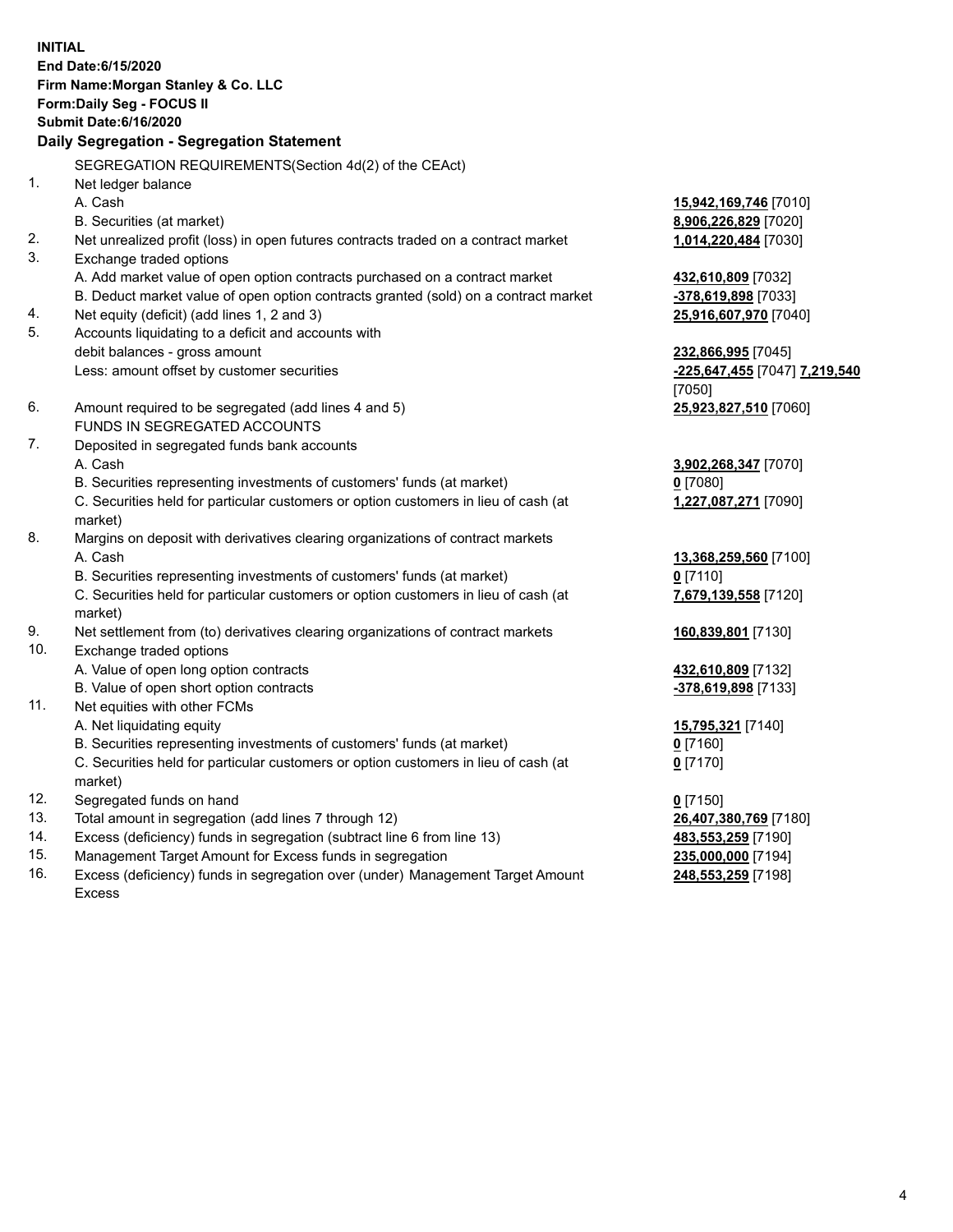**INITIAL End Date:6/15/2020 Firm Name:Morgan Stanley & Co. LLC Form:Daily Seg - FOCUS II Submit Date:6/16/2020 Daily Segregation - Segregation Statement** SEGREGATION REQUIREMENTS(Section 4d(2) of the CEAct) 1. Net ledger balance A. Cash **15,942,169,746** [7010] B. Securities (at market) **8,906,226,829** [7020] 2. Net unrealized profit (loss) in open futures contracts traded on a contract market **1,014,220,484** [7030] 3. Exchange traded options A. Add market value of open option contracts purchased on a contract market **432,610,809** [7032] B. Deduct market value of open option contracts granted (sold) on a contract market **-378,619,898** [7033] 4. Net equity (deficit) (add lines 1, 2 and 3) **25,916,607,970** [7040] 5. Accounts liquidating to a deficit and accounts with debit balances - gross amount **232,866,995** [7045] Less: amount offset by customer securities **-225,647,455** [7047] **7,219,540** [7050] 6. Amount required to be segregated (add lines 4 and 5) **25,923,827,510** [7060] FUNDS IN SEGREGATED ACCOUNTS 7. Deposited in segregated funds bank accounts A. Cash **3,902,268,347** [7070] B. Securities representing investments of customers' funds (at market) **0** [7080] C. Securities held for particular customers or option customers in lieu of cash (at market) **1,227,087,271** [7090] 8. Margins on deposit with derivatives clearing organizations of contract markets A. Cash **13,368,259,560** [7100] B. Securities representing investments of customers' funds (at market) **0** [7110] C. Securities held for particular customers or option customers in lieu of cash (at market) **7,679,139,558** [7120] 9. Net settlement from (to) derivatives clearing organizations of contract markets **160,839,801** [7130] 10. Exchange traded options A. Value of open long option contracts **432,610,809** [7132] B. Value of open short option contracts **and the set of our of the set of our of the set of our of the set of the set of the set of the set of the set of the set of the set of the set of the set of the set of the set of th** 11. Net equities with other FCMs A. Net liquidating equity **15,795,321** [7140] B. Securities representing investments of customers' funds (at market) **0** [7160] C. Securities held for particular customers or option customers in lieu of cash (at market) **0** [7170] 12. Segregated funds on hand **0** [7150] 13. Total amount in segregation (add lines 7 through 12) **26,407,380,769** [7180] 14. Excess (deficiency) funds in segregation (subtract line 6 from line 13) **483,553,259** [7190] 15. Management Target Amount for Excess funds in segregation **235,000,000** [7194]

16. Excess (deficiency) funds in segregation over (under) Management Target Amount Excess

**248,553,259** [7198]